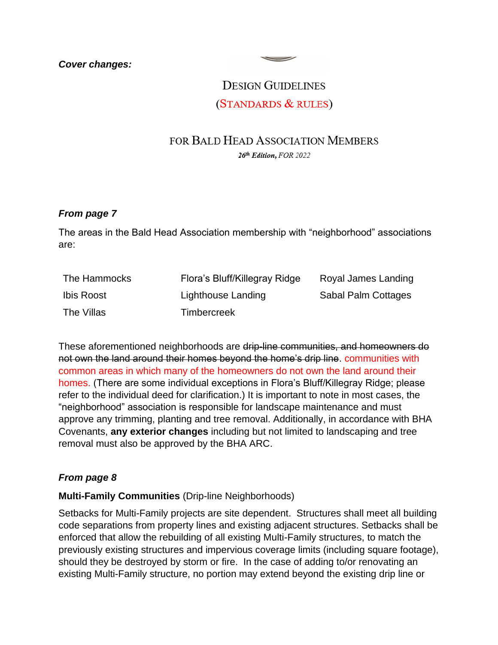## **DESIGN GUIDELINES** (STANDARDS & RULES)

 $\overline{\phantom{a}}$ 

# FOR BALD HEAD ASSOCIATION MEMBERS

26th Edition, FOR 2022

## *From page 7*

The areas in the Bald Head Association membership with "neighborhood" associations are:

| The Hammocks | Flora's Bluff/Killegray Ridge | Royal James Landing |
|--------------|-------------------------------|---------------------|
| Ibis Roost   | Lighthouse Landing            | Sabal Palm Cottages |
| The Villas   | <b>Timbercreek</b>            |                     |

These aforementioned neighborhoods are drip-line communities, and homeowners do not own the land around their homes beyond the home's drip line. communities with common areas in which many of the homeowners do not own the land around their homes. (There are some individual exceptions in Flora's Bluff/Killegray Ridge; please refer to the individual deed for clarification.) It is important to note in most cases, the "neighborhood" association is responsible for landscape maintenance and must approve any trimming, planting and tree removal. Additionally, in accordance with BHA Covenants, **any exterior changes** including but not limited to landscaping and tree removal must also be approved by the BHA ARC.

## *From page 8*

#### **Multi-Family Communities** (Drip-line Neighborhoods)

Setbacks for Multi-Family projects are site dependent. Structures shall meet all building code separations from property lines and existing adjacent structures. Setbacks shall be enforced that allow the rebuilding of all existing Multi-Family structures, to match the previously existing structures and impervious coverage limits (including square footage), should they be destroyed by storm or fire. In the case of adding to/or renovating an existing Multi-Family structure, no portion may extend beyond the existing drip line or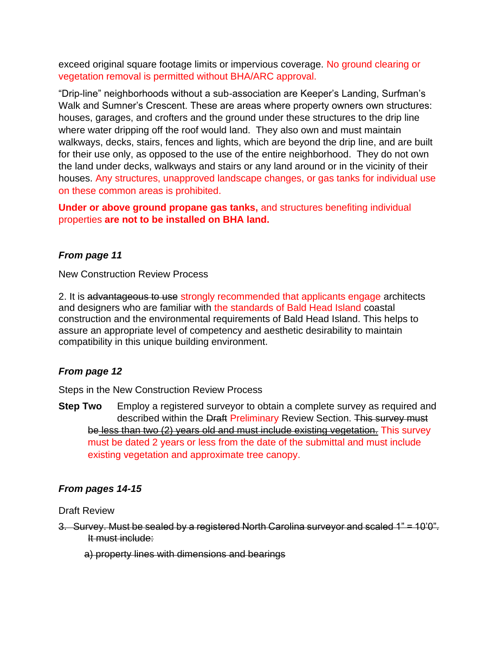exceed original square footage limits or impervious coverage. No ground clearing or vegetation removal is permitted without BHA/ARC approval.

"Drip-line" neighborhoods without a sub-association are Keeper's Landing, Surfman's Walk and Sumner's Crescent. These are areas where property owners own structures: houses, garages, and crofters and the ground under these structures to the drip line where water dripping off the roof would land. They also own and must maintain walkways, decks, stairs, fences and lights, which are beyond the drip line, and are built for their use only, as opposed to the use of the entire neighborhood. They do not own the land under decks, walkways and stairs or any land around or in the vicinity of their houses. Any structures, unapproved landscape changes, or gas tanks for individual use on these common areas is prohibited.

**Under or above ground propane gas tanks,** and structures benefiting individual properties **are not to be installed on BHA land.** 

## *From page 11*

New Construction Review Process

2. It is advantageous to use strongly recommended that applicants engage architects and designers who are familiar with the standards of Bald Head Island coastal construction and the environmental requirements of Bald Head Island. This helps to assure an appropriate level of competency and aesthetic desirability to maintain compatibility in this unique building environment.

#### *From page 12*

Steps in the New Construction Review Process

**Step Two** Employ a registered surveyor to obtain a complete survey as required and described within the Draft Preliminary Review Section. This survey must be less than two (2) years old and must include existing vegetation. This survey must be dated 2 years or less from the date of the submittal and must include existing vegetation and approximate tree canopy.

#### *From pages 14-15*

Draft Review

- 3. Survey. Must be sealed by a registered North Carolina surveyor and scaled 1" = 10'0". It must include:
	- a) property lines with dimensions and bearings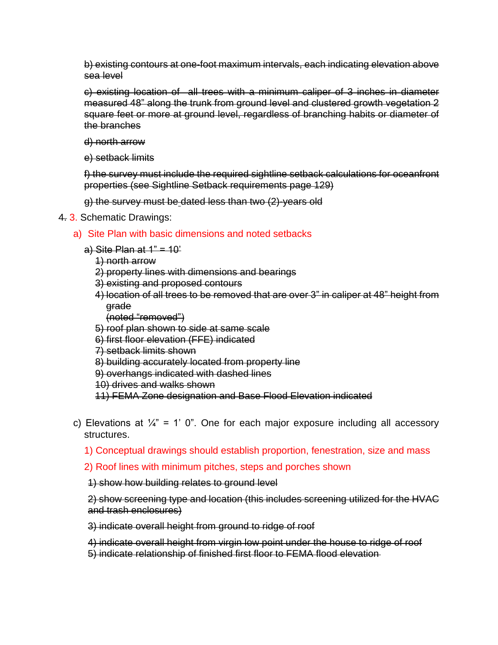b) existing contours at one-foot maximum intervals, each indicating elevation above sea level

c) existing location of all trees with a minimum caliper of 3 inches in diameter measured 48" along the trunk from ground level and clustered growth vegetation 2 square feet or more at ground level, regardless of branching habits or diameter of the branches

d) north arrow

e) setback limits

f) the survey must include the required sightline setback calculations for oceanfront properties (see Sightline Setback requirements page 129)

g) the survey must be dated less than two (2)-years old

#### 4. 3. Schematic Drawings:

- a) Site Plan with basic dimensions and noted setbacks
	- a) Site Plan at  $1" = 10'$ 
		- 1) north arrow 2) property lines with dimensions and bearings 3) existing and proposed contours 4) location of all trees to be removed that are over 3" in caliper at 48" height from grade (noted "removed") 5) roof plan shown to side at same scale 6) first floor elevation (FFE) indicated 7) setback limits shown 8) building accurately located from property line 9) overhangs indicated with dashed lines 10) drives and walks shown 11) FEMA Zone designation and Base Flood Elevation indicated
- c) Elevations at  $\frac{1}{4}$ " = 1' 0". One for each major exposure including all accessory structures.
	- 1) Conceptual drawings should establish proportion, fenestration, size and mass
	- 2) Roof lines with minimum pitches, steps and porches shown

1) show how building relates to ground level

2) show screening type and location (this includes screening utilized for the HVAC and trash enclosures)

3) indicate overall height from ground to ridge of roof

4) indicate overall height from virgin low point under the house to ridge of roof

5) indicate relationship of finished first floor to FEMA flood elevation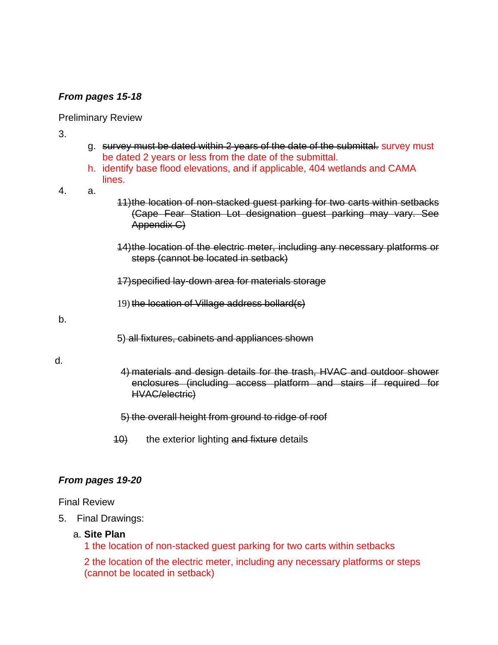## *From pages 15-18*

#### Preliminary Review

3.

- g. survey must be dated within 2 years of the date of the submittal. survey must be dated 2 years or less from the date of the submittal.
- h. identify base flood elevations, and if applicable, 404 wetlands and CAMA lines.
- 4. a.
- 11)the location of non-stacked guest parking for two carts within setbacks (Cape Fear Station Lot designation guest parking may vary. See Appendix C)
- 14)the location of the electric meter, including any necessary platforms or steps (cannot be located in setback)
- 17)specified lay-down area for materials storage
- 19) the location of Village address bollard(s)

b.

5) all fixtures, cabinets and appliances shown

d.

4) materials and design details for the trash, HVAC and outdoor shower enclosures (including access platform and stairs if required for HVAC/electric)

#### 5) the overall height from ground to ridge of roof

10) the exterior lighting and fixture details

#### *From pages 19-20*

#### Final Review

5. Final Drawings:

#### a. **Site Plan**

1 the location of non-stacked guest parking for two carts within setbacks

2 the location of the electric meter, including any necessary platforms or steps (cannot be located in setback)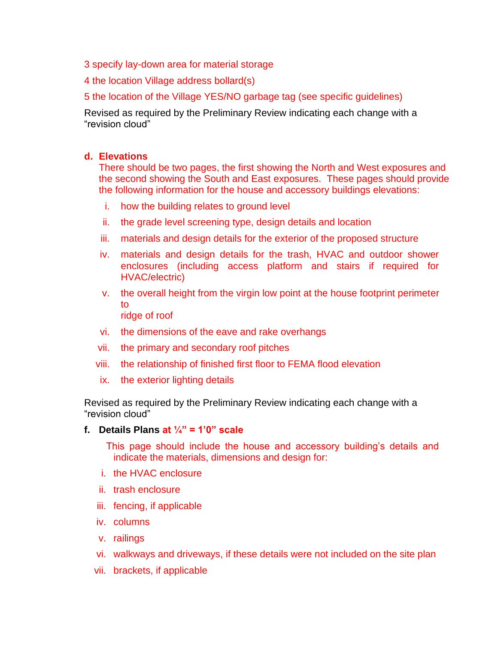- 3 specify lay-down area for material storage
- 4 the location Village address bollard(s)
- 5 the location of the Village YES/NO garbage tag (see specific guidelines)

Revised as required by the Preliminary Review indicating each change with a "revision cloud"

#### **d. Elevations**

There should be two pages, the first showing the North and West exposures and the second showing the South and East exposures. These pages should provide the following information for the house and accessory buildings elevations:

- i. how the building relates to ground level
- ii. the grade level screening type, design details and location
- iii. materials and design details for the exterior of the proposed structure
- iv. materials and design details for the trash, HVAC and outdoor shower enclosures (including access platform and stairs if required for HVAC/electric)
- v. the overall height from the virgin low point at the house footprint perimeter to ridge of roof
- vi. the dimensions of the eave and rake overhangs
- vii. the primary and secondary roof pitches
- viii. the relationship of finished first floor to FEMA flood elevation
- ix. the exterior lighting details

Revised as required by the Preliminary Review indicating each change with a "revision cloud"

#### **f. Details Plans at ¼" = 1'0" scale**

This page should include the house and accessory building's details and indicate the materials, dimensions and design for:

- i. the HVAC enclosure
- ii. trash enclosure
- iii. fencing, if applicable
- iv. columns
- v. railings
- vi. walkways and driveways, if these details were not included on the site plan
- vii. brackets, if applicable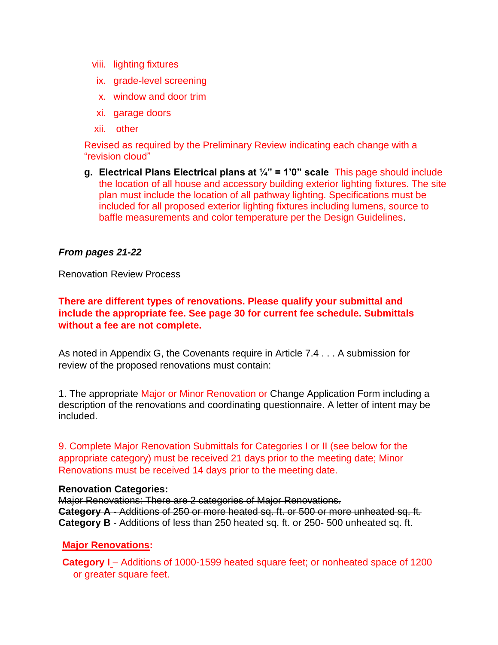- viii. lighting fixtures
	- ix. grade-level screening
	- x. window and door trim
	- xi. garage doors
- xii. other

Revised as required by the Preliminary Review indicating each change with a "revision cloud"

**g. Electrical Plans Electrical plans at ¼" = 1'0" scale** This page should include the location of all house and accessory building exterior lighting fixtures. The site plan must include the location of all pathway lighting. Specifications must be included for all proposed exterior lighting fixtures including lumens, source to baffle measurements and color temperature per the Design Guidelines.

#### *From pages 21-22*

Renovation Review Process

**There are different types of renovations. Please qualify your submittal and include the appropriate fee. See page 30 for current fee schedule. Submittals without a fee are not complete.**

As noted in Appendix G, the Covenants require in Article 7.4 . . . A submission for review of the proposed renovations must contain:

1. The appropriate Major or Minor Renovation or Change Application Form including a description of the renovations and coordinating questionnaire. A letter of intent may be included.

9. Complete Major Renovation Submittals for Categories I or II (see below for the appropriate category) must be received 21 days prior to the meeting date; Minor Renovations must be received 14 days prior to the meeting date.

#### **Renovation Categories:**

Major Renovations: There are 2 categories of Major Renovations. **Category A** - Additions of 250 or more heated sq. ft. or 500 or more unheated sq. ft. **Category B** - Additions of less than 250 heated sq. ft. or 250- 500 unheated sq. ft.

#### **Major Renovations:**

**Category I** – Additions of 1000-1599 heated square feet; or nonheated space of 1200 or greater square feet.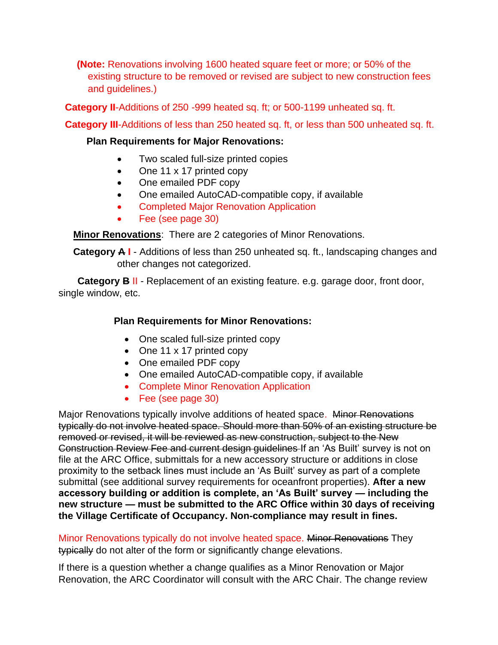**(Note:** Renovations involving 1600 heated square feet or more; or 50% of the existing structure to be removed or revised are subject to new construction fees and guidelines.)

**Category II**-Additions of 250 -999 heated sq. ft; or 500-1199 unheated sq. ft.

**Category III**-Additions of less than 250 heated sq. ft, or less than 500 unheated sq. ft.

## **Plan Requirements for Major Renovations:**

- Two scaled full-size printed copies
- One 11 x 17 printed copy
- One emailed PDF copy
- One emailed AutoCAD-compatible copy, if available
- Completed Major Renovation Application
- Fee (see page 30)

**Minor Renovations**: There are 2 categories of Minor Renovations.

**Category A I** - Additions of less than 250 unheated sq. ft., landscaping changes and other changes not categorized.

 **Category B** II - Replacement of an existing feature. e.g. garage door, front door, single window, etc.

## **Plan Requirements for Minor Renovations:**

- One scaled full-size printed copy
- One 11 x 17 printed copy
- One emailed PDF copy
- One emailed AutoCAD-compatible copy, if available
- Complete Minor Renovation Application
- Fee (see page 30)

Major Renovations typically involve additions of heated space. Minor Renovations typically do not involve heated space. Should more than 50% of an existing structure be removed or revised, it will be reviewed as new construction, subject to the New Construction Review Fee and current design guidelines If an 'As Built' survey is not on file at the ARC Office, submittals for a new accessory structure or additions in close proximity to the setback lines must include an 'As Built' survey as part of a complete submittal (see additional survey requirements for oceanfront properties). **After a new accessory building or addition is complete, an 'As Built' survey — including the new structure — must be submitted to the ARC Office within 30 days of receiving the Village Certificate of Occupancy. Non-compliance may result in fines.**

Minor Renovations typically do not involve heated space. Minor Renovations They typically do not alter of the form or significantly change elevations.

If there is a question whether a change qualifies as a Minor Renovation or Major Renovation, the ARC Coordinator will consult with the ARC Chair. The change review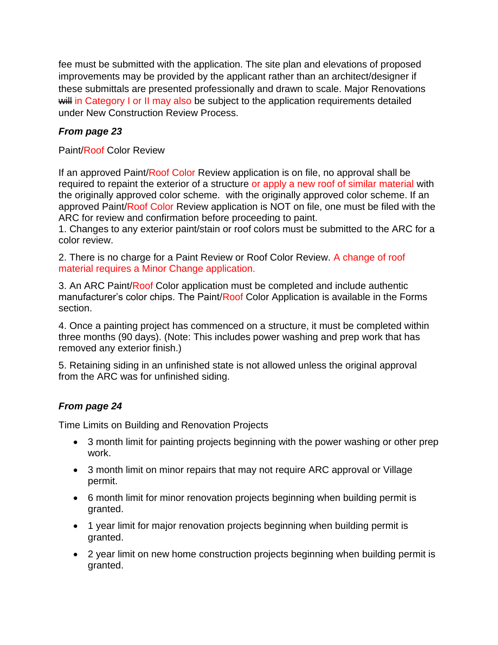fee must be submitted with the application. The site plan and elevations of proposed improvements may be provided by the applicant rather than an architect/designer if these submittals are presented professionally and drawn to scale. Major Renovations will in Category I or II may also be subject to the application requirements detailed under New Construction Review Process.

## *From page 23*

Paint/Roof Color Review

If an approved Paint/Roof Color Review application is on file, no approval shall be required to repaint the exterior of a structure or apply a new roof of similar material with the originally approved color scheme. with the originally approved color scheme. If an approved Paint/Roof Color Review application is NOT on file, one must be filed with the ARC for review and confirmation before proceeding to paint.

1. Changes to any exterior paint/stain or roof colors must be submitted to the ARC for a color review.

2. There is no charge for a Paint Review or Roof Color Review. A change of roof material requires a Minor Change application.

3. An ARC Paint/Roof Color application must be completed and include authentic manufacturer's color chips. The Paint/Roof Color Application is available in the Forms section.

4. Once a painting project has commenced on a structure, it must be completed within three months (90 days). (Note: This includes power washing and prep work that has removed any exterior finish.)

5. Retaining siding in an unfinished state is not allowed unless the original approval from the ARC was for unfinished siding.

## *From page 24*

Time Limits on Building and Renovation Projects

- 3 month limit for painting projects beginning with the power washing or other prep work.
- 3 month limit on minor repairs that may not require ARC approval or Village permit.
- 6 month limit for minor renovation projects beginning when building permit is granted.
- 1 year limit for major renovation projects beginning when building permit is granted.
- 2 year limit on new home construction projects beginning when building permit is granted.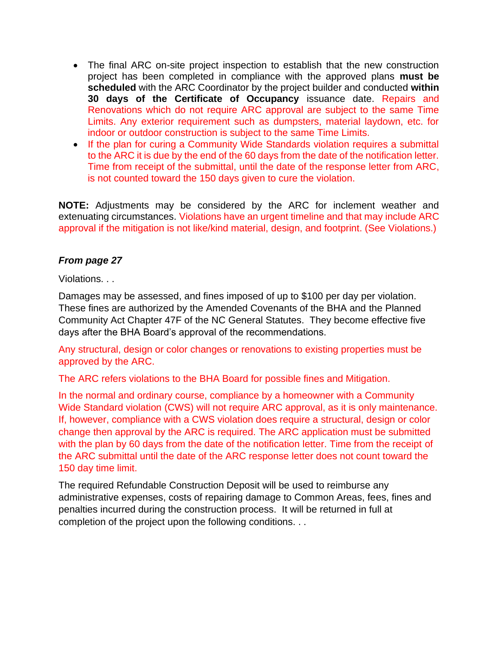- The final ARC on-site project inspection to establish that the new construction project has been completed in compliance with the approved plans **must be scheduled** with the ARC Coordinator by the project builder and conducted **within 30 days of the Certificate of Occupancy** issuance date. Repairs and Renovations which do not require ARC approval are subject to the same Time Limits. Any exterior requirement such as dumpsters, material laydown, etc. for indoor or outdoor construction is subject to the same Time Limits.
- If the plan for curing a Community Wide Standards violation requires a submittal to the ARC it is due by the end of the 60 days from the date of the notification letter. Time from receipt of the submittal, until the date of the response letter from ARC, is not counted toward the 150 days given to cure the violation.

**NOTE:** Adjustments may be considered by the ARC for inclement weather and extenuating circumstances. Violations have an urgent timeline and that may include ARC approval if the mitigation is not like/kind material, design, and footprint. (See Violations.)

## *From page 27*

#### Violations. . .

Damages may be assessed, and fines imposed of up to \$100 per day per violation. These fines are authorized by the Amended Covenants of the BHA and the Planned Community Act Chapter 47F of the NC General Statutes. They become effective five days after the BHA Board's approval of the recommendations.

Any structural, design or color changes or renovations to existing properties must be approved by the ARC.

The ARC refers violations to the BHA Board for possible fines and Mitigation.

In the normal and ordinary course, compliance by a homeowner with a Community Wide Standard violation (CWS) will not require ARC approval, as it is only maintenance. If, however, compliance with a CWS violation does require a structural, design or color change then approval by the ARC is required. The ARC application must be submitted with the plan by 60 days from the date of the notification letter. Time from the receipt of the ARC submittal until the date of the ARC response letter does not count toward the 150 day time limit.

The required Refundable Construction Deposit will be used to reimburse any administrative expenses, costs of repairing damage to Common Areas, fees, fines and penalties incurred during the construction process. It will be returned in full at completion of the project upon the following conditions. . .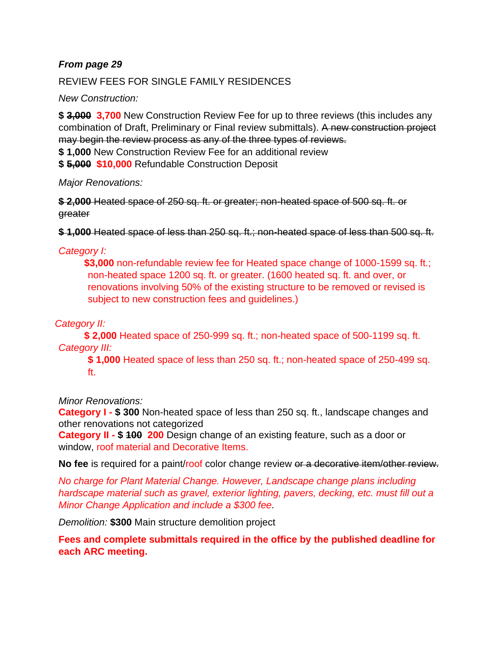## *From page 29*

#### REVIEW FEES FOR SINGLE FAMILY RESIDENCES

*New Construction:*

**\$ 3,000 3,700** New Construction Review Fee for up to three reviews (this includes any combination of Draft, Preliminary or Final review submittals). A new construction project may begin the review process as any of the three types of reviews.

**\$ 1,000** New Construction Review Fee for an additional review

**\$ 5,000 \$10,000** Refundable Construction Deposit

*Major Renovations:* 

**\$ 2,000** Heated space of 250 sq. ft. or greater; non-heated space of 500 sq. ft. or greater

**\$ 1,000** Heated space of less than 250 sq. ft.; non-heated space of less than 500 sq. ft.

## *Category I:*

**\$3,000** non-refundable review fee for Heated space change of 1000-1599 sq. ft.; non-heated space 1200 sq. ft. or greater. (1600 heated sq. ft. and over, or renovations involving 50% of the existing structure to be removed or revised is subject to new construction fees and guidelines.)

## *Category II:*

**\$ 2,000** Heated space of 250-999 sq. ft.; non-heated space of 500-1199 sq. ft. *Category III:*

**\$ 1,000** Heated space of less than 250 sq. ft.; non-heated space of 250-499 sq. ft.

*Minor Renovations:* 

**Category I - \$ 300** Non-heated space of less than 250 sq. ft., landscape changes and other renovations not categorized

**Category II - \$ 100 200** Design change of an existing feature, such as a door or window, roof material and Decorative Items.

**No fee** is required for a paint/roof color change review or a decorative item/other review.

*No charge for Plant Material Change. However, Landscape change plans including hardscape material such as gravel, exterior lighting, pavers, decking, etc. must fill out a Minor Change Application and include a \$300 fee.*

*Demolition:* **\$300** Main structure demolition project

**Fees and complete submittals required in the office by the published deadline for each ARC meeting.**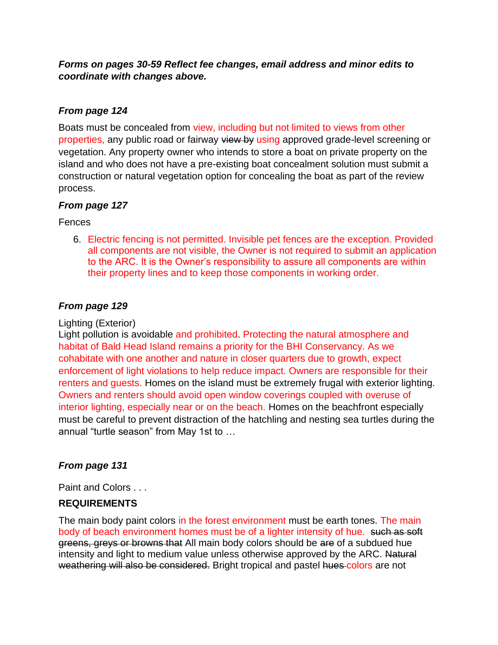*Forms on pages 30-59 Reflect fee changes, email address and minor edits to coordinate with changes above.*

## *From page 124*

Boats must be concealed from view, including but not limited to views from other properties, any public road or fairway view by using approved grade-level screening or vegetation. Any property owner who intends to store a boat on private property on the island and who does not have a pre-existing boat concealment solution must submit a construction or natural vegetation option for concealing the boat as part of the review process.

## *From page 127*

Fences

6. Electric fencing is not permitted. Invisible pet fences are the exception. Provided all components are not visible, the Owner is not required to submit an application to the ARC. It is the Owner's responsibility to assure all components are within their property lines and to keep those components in working order.

## *From page 129*

## Lighting (Exterior)

Light pollution is avoidable and prohibited. Protecting the natural atmosphere and habitat of Bald Head Island remains a priority for the BHI Conservancy. As we cohabitate with one another and nature in closer quarters due to growth, expect enforcement of light violations to help reduce impact. Owners are responsible for their renters and guests. Homes on the island must be extremely frugal with exterior lighting. Owners and renters should avoid open window coverings coupled with overuse of interior lighting, especially near or on the beach. Homes on the beachfront especially must be careful to prevent distraction of the hatchling and nesting sea turtles during the annual "turtle season" from May 1st to …

## *From page 131*

Paint and Colors . . .

## **REQUIREMENTS**

The main body paint colors in the forest environment must be earth tones. The main body of beach environment homes must be of a lighter intensity of hue. such as soft greens, greys or browns that All main body colors should be are of a subdued hue intensity and light to medium value unless otherwise approved by the ARC. Natural weathering will also be considered. Bright tropical and pastel hues colors are not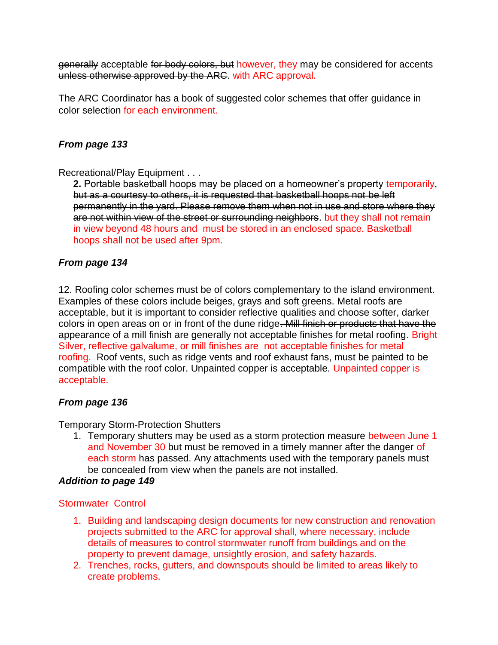generally acceptable for body colors, but however, they may be considered for accents unless otherwise approved by the ARC. with ARC approval.

The ARC Coordinator has a book of suggested color schemes that offer guidance in color selection for each environment.

## *From page 133*

Recreational/Play Equipment . . .

**2.** Portable basketball hoops may be placed on a homeowner's property temporarily, but as a courtesy to others, it is requested that basketball hoops not be left permanently in the yard. Please remove them when not in use and store where they are not within view of the street or surrounding neighbors. but they shall not remain in view beyond 48 hours and must be stored in an enclosed space. Basketball hoops shall not be used after 9pm.

## *From page 134*

12. Roofing color schemes must be of colors complementary to the island environment. Examples of these colors include beiges, grays and soft greens. Metal roofs are acceptable, but it is important to consider reflective qualities and choose softer, darker colors in open areas on or in front of the dune ridge. Mill finish or products that have the appearance of a mill finish are generally not acceptable finishes for metal roofing. Bright Silver, reflective galvalume, or mill finishes are not acceptable finishes for metal roofing. Roof vents, such as ridge vents and roof exhaust fans, must be painted to be compatible with the roof color. Unpainted copper is acceptable. Unpainted copper is acceptable.

#### *From page 136*

Temporary Storm-Protection Shutters

1. Temporary shutters may be used as a storm protection measure between June 1 and November 30 but must be removed in a timely manner after the danger of each storm has passed. Any attachments used with the temporary panels must be concealed from view when the panels are not installed.

## *Addition to page 149*

#### Stormwater Control

- 1. Building and landscaping design documents for new construction and renovation projects submitted to the ARC for approval shall, where necessary, include details of measures to control stormwater runoff from buildings and on the property to prevent damage, unsightly erosion, and safety hazards.
- 2. Trenches, rocks, gutters, and downspouts should be limited to areas likely to create problems.